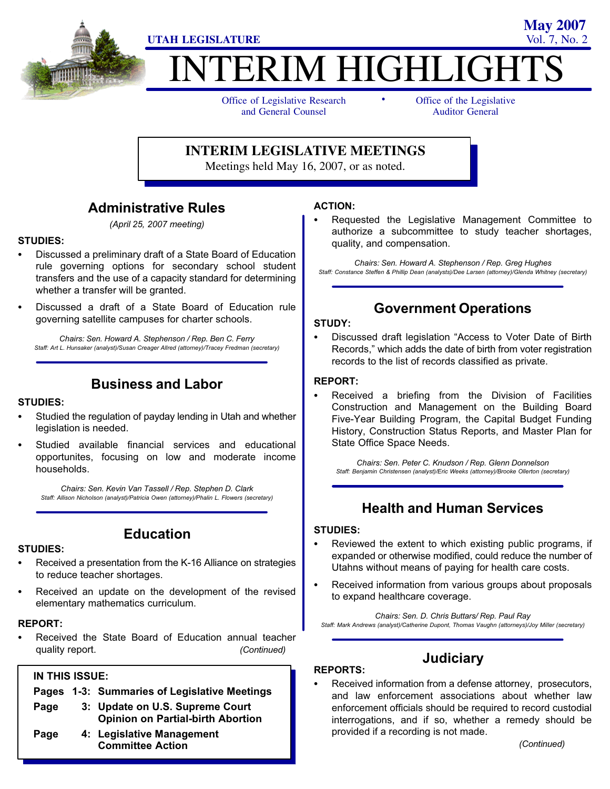

# ITERIM HIGHLIGHT

-

Office of Legislative Research and General Counsel

Office of the Legislative Auditor General

**May 2007**

#### **INTERIM LEGISLATIVE MEETINGS**

Meetings held May 16, 2007, or as noted.

#### Administrative Rules

(April 25, 2007 meeting)

# STUDIES:<br>--

- Discussed a preliminary draft of a State Board of Education rule governing options for secondary school student transfers and the use of a capacity standard for determining whether a transfer will be granted.
- Discussed a draft of a State Board of Education rule governing satellite campuses for charter schools.

Chairs: Sen. Howard A. Stephenson / Rep. Ben C. Ferry Staff: Art L. Hunsaker (analyst)/Susan Creager Allred (attorney)/Tracey Fredman (secretary)

#### Business and Labor

# STUDIES: -

- Studied the regulation of payday lending in Utah and whether legislation is needed.
- Studied available financial services and educational opportunites, focusing on low and moderate income households.

Chairs: Sen. Kevin Van Tassell / Rep. Stephen D. Clark Staff: Allison Nicholson (analyst)/Patricia Owen (attorney)/Phalin L. Flowers (secretary)

# STUDIES: -

- Education
- Received a presentation from the K−16 Alliance on strategies to reduce teacher shortages.
- Received an update on the development of the revised elementary mathematics curriculum.

## REPORT: -

 Received the State Board of Education annual teacher quality report.  $(Continued)$ 

#### IN THIS ISSUE:

- Pages 1−3: Summaries of Legislative Meetings Page 3: Update on U.S. Supreme Court
	- Opinion on Partial−birth Abortion
- Page 4: Legislative Management Committee Action

## ACTION: -

 Requested the Legislative Management Committee to authorize a subcommittee to study teacher shortages, quality, and compensation.

Chairs: Sen. Howard A. Stephenson / Rep. Greg Hughes Staff: Constance Steffen & Phillip Dean (analysts)/Dee Larsen (attorney)/Glenda Whitney (secretary)

#### Government Operations

# STUDY:<br>--

• Discussed draft legislation "Access to Voter Date of Birth Records," which adds the date of birth from voter registration records to the list of records classified as private.

#### REPORT: -

 Received a briefing from the Division of Facilities Construction and Management on the Building Board Five−Year Building Program, the Capital Budget Funding History, Construction Status Reports, and Master Plan for State Office Space Needs.

Chairs: Sen. Peter C. Knudson / Rep. Glenn Donnelson Staff: Benjamin Christensen (analyst)/Eric Weeks (attorney)/Brooke Ollerton (secretary)

#### Health and Human Services

# STUDIES: -

- Reviewed the extent to which existing public programs, if expanded or otherwise modified, could reduce the number of Utahns without means of paying for health care costs.
- Received information from various groups about proposals to expand healthcare coverage.

Chairs: Sen. D. Chris Buttars/ Rep. Paul Ray Staff: Mark Andrews (analyst)/Catherine Dupont, Thomas Vaughn (attorneys)/Joy Miller (secretary)

## **Judiciary**

# REPORTS: -

 Received information from a defense attorney, prosecutors, and law enforcement associations about whether law enforcement officials should be required to record custodial interrogations, and if so, whether a remedy should be provided if a recording is not made.

(Continued)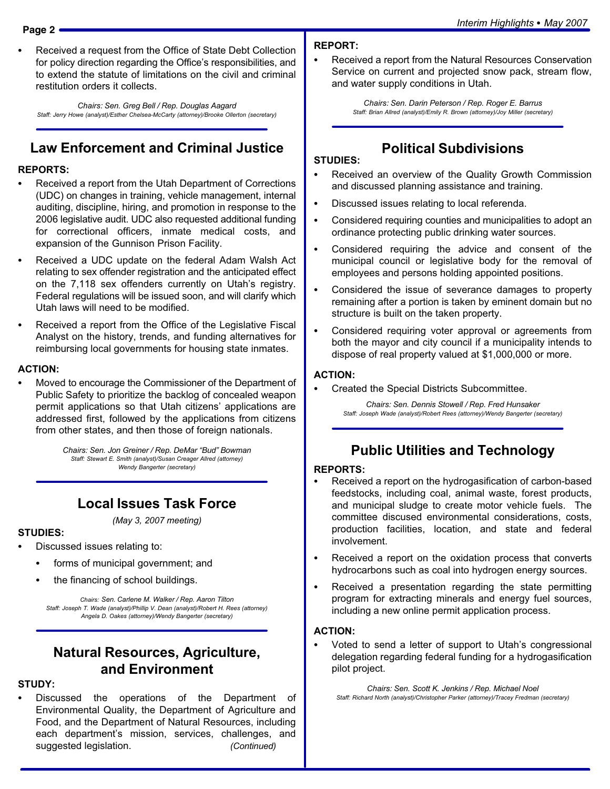Received a request from the Office of State Debt Collection for policy direction regarding the Office's responsibilities, and to extend the statute of limitations on the civil and criminal restitution orders it collects.

Chairs: Sen. Greg Bell / Rep. Douglas Aagard Staff: Jerry Howe (analyst)/Esther Chelsea−McCarty (attorney)/Brooke Ollerton (secretary)

# Law Enforcement and Criminal Justice

# REPORTS:<br>—

- Received a report from the Utah Department of Corrections (UDC) on changes in training, vehicle management, internal auditing, discipline, hiring, and promotion in response to the 2006 legislative audit. UDC also requested additional funding for correctional officers, inmate medical costs, and expansion of the Gunnison Prison Facility.
- Received a UDC update on the federal Adam Walsh Act relating to sex offender registration and the anticipated effect on the 7,118 sex offenders currently on Utah's registry. Federal regulations will be issued soon, and will clarify which Utah laws will need to be modified.
- Received a report from the Office of the Legislative Fiscal Analyst on the history, trends, and funding alternatives for reimbursing local governments for housing state inmates.

#### ACTION: -

 Moved to encourage the Commissioner of the Department of Public Safety to prioritize the backlog of concealed weapon permit applications so that Utah citizens' applications are addressed first, followed by the applications from citizens from other states, and then those of foreign nationals.

> Chairs: Sen. Jon Greiner / Rep. DeMar "Bud" Bowman Staff: Stewart E. Smith (analyst)/Susan Creager Allred (attorney) Wendy Bangerter (secretary)

#### Local Issues Task Force

(May 3, 2007 meeting)

# STUDIES:<br>--

- Discussed issues relating to:
	- forms of municipal government; and
	- the financing of school buildings.

Chairs: Sen. Carlene M. Walker / Rep. Aaron Tilton Staff: Joseph T. Wade (analyst)/Phillip V. Dean (analyst)/Robert H. Rees (attorney) Angela D. Oakes (attorney)/Wendy Bangerter (secretary)

#### Natural Resources, Agriculture, and Environment

# STUDY: -

 Discussed the operations of the Department of Environmental Quality, the Department of Agriculture and Food, and the Department of Natural Resources, including each department's mission, services, challenges, and suggested legislation. (Continued)

# REPORT: -

 Received a report from the Natural Resources Conservation Service on current and projected snow pack, stream flow, and water supply conditions in Utah.

> Chairs: Sen. Darin Peterson / Rep. Roger E. Barrus Staff: Brian Allred (analyst)/Emily R. Brown (attorney)/Joy Miller (secretary)

# Political Subdivisions

# STUDIES:<br>-

- Received an overview of the Quality Growth Commission and discussed planning assistance and training.
- Discussed issues relating to local referenda.
- Considered requiring counties and municipalities to adopt an ordinance protecting public drinking water sources.
- $\bullet$  Considered requiring the advice and consent of the municipal council or legislative body for the removal of employees and persons holding appointed positions.
- Considered the issue of severance damages to property remaining after a portion is taken by eminent domain but no structure is built on the taken property.
- Considered requiring voter approval or agreements from both the mayor and city council if a municipality intends to dispose of real property valued at \$1,000,000 or more.

# ACTION: -

Created the Special Districts Subcommittee.

Chairs: Sen. Dennis Stowell / Rep. Fred Hunsaker Staff: Joseph Wade (analyst)/Robert Rees (attorney)/Wendy Bangerter (secretary)

## Public Utilities and Technology

#### REPORTS: -

- Received a report on the hydrogasification of carbon−based feedstocks, including coal, animal waste, forest products, and municipal sludge to create motor vehicle fuels. The committee discused environmental considerations, costs, production facilities, location, and state and federal involvement.
- Received a report on the oxidation process that converts hydrocarbons such as coal into hydrogen energy sources.
- Received a presentation regarding the state permitting program for extracting minerals and energy fuel sources, including a new online permit application process.

# ACTION: -

 Voted to send a letter of support to Utah's congressional delegation regarding federal funding for a hydrogasification pilot project.

Chairs: Sen. Scott K. Jenkins / Rep. Michael Noel Staff: Richard North (analyst)/Christopher Parker (attorney)/Tracey Fredman (secretary)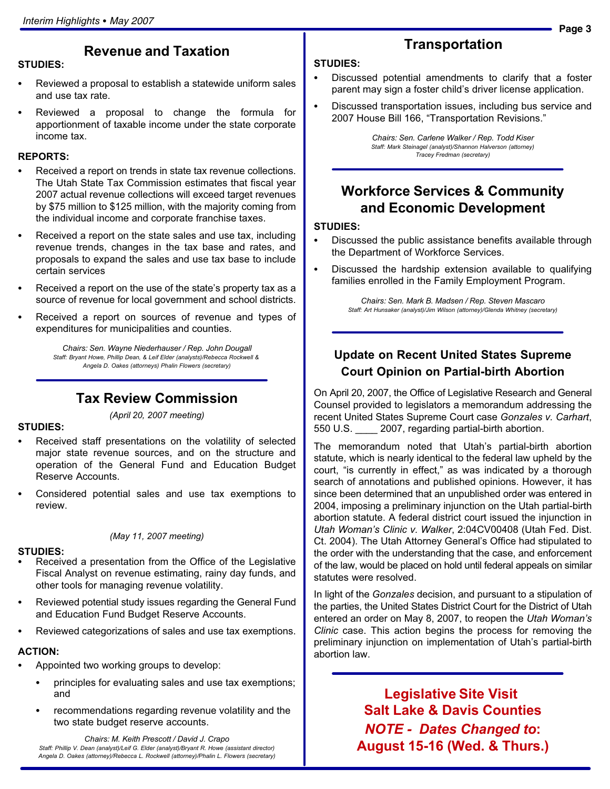## Revenue and Taxation

- Reviewed a proposal to establish a statewide uniform sales and use tax rate.
- Reviewed a proposal to change the formula for apportionment of taxable income under the state corporate income tax.

# REPORTS: -

STUDIES:

- Received a report on trends in state tax revenue collections. The Utah State Tax Commission estimates that fiscal year 2007 actual revenue collections will exceed target revenues by \$75 million to \$125 million, with the majority coming from the individual income and corporate franchise taxes.
- Received a report on the state sales and use tax, including revenue trends, changes in the tax base and rates, and proposals to expand the sales and use tax base to include certain services
- Received a report on the use of the state's property tax as a source of revenue for local government and school districts.
- Received a report on sources of revenue and types of expenditures for municipalities and counties.

Chairs: Sen. Wayne Niederhauser / Rep. John Dougall Staff: Bryant Howe, Phillip Dean, & Leif Elder (analysts)/Rebecca Rockwell & Angela D. Oakes (attorneys) Phalin Flowers (secretary)

#### Tax Review Commission

(April 20, 2007 meeting)

# STUDIES: -

- Received staff presentations on the volatility of selected major state revenue sources, and on the structure and operation of the General Fund and Education Budget Reserve Accounts.
- Considered potential sales and use tax exemptions to review.

(May 11, 2007 meeting)

#### STUDIES:

- Received a presentation from the Office of the Legislative Fiscal Analyst on revenue estimating, rainy day funds, and other tools for managing revenue volatility.
- Reviewed potential study issues regarding the General Fund and Education Fund Budget Reserve Accounts.
- Reviewed categorizations of sales and use tax exemptions.

# ACTION: -

- Appointed two working groups to develop:
	- principles for evaluating sales and use tax exemptions; and
	- recommendations regarding revenue volatility and the two state budget reserve accounts.

Chairs: M. Keith Prescott / David J. Crapo Staff: Phillip V. Dean (analyst)/Leif G. Elder (analyst)/Bryant R. Howe (assistant director) Angela D. Oakes (attorney)/Rebecca L. Rockwell (attorney)/Phalin L. Flowers (secretary)

#### **Transportation**

# STUDIES:<br>-

- Discussed potential amendments to clarify that a foster parent may sign a foster child's driver license application.
- Discussed transportation issues, including bus service and 2007 House Bill 166, "Transportation Revisions."

Chairs: Sen. Carlene Walker / Rep. Todd Kiser Staff: Mark Steinagel (analyst)/Shannon Halverson (attorney) Tracey Fredman (secretary)

#### Workforce Services & Community and Economic Development

# STUDIES:<br>-

- Discussed the public assistance benefits available through the Department of Workforce Services.
- Discussed the hardship extension available to qualifying families enrolled in the Family Employment Program.

Chairs: Sen. Mark B. Madsen / Rep. Steven Mascaro Staff: Art Hunsaker (analyst)/Jim Wilson (attorney)/Glenda Whitney (secretary)

#### Update on Recent United States Supreme Court Opinion on Partial−birth Abortion

On April 20, 2007, the Office of Legislative Research and General Counsel provided to legislators a memorandum addressing the recent United States Supreme Court case Gonzales v. Carhart, 550 U.S. \_\_\_\_ 2007, regarding partial−birth abortion.

The memorandum noted that Utah's partial−birth abortion statute, which is nearly identical to the federal law upheld by the court, "is currently in effect," as was indicated by a thorough search of annotations and published opinions. However, it has since been determined that an unpublished order was entered in 2004, imposing a preliminary injunction on the Utah partial−birth abortion statute. A federal district court issued the injunction in Utah Woman's Clinic v. Walker, 2:04CV00408 (Utah Fed. Dist. Ct. 2004). The Utah Attorney General's Office had stipulated to the order with the understanding that the case, and enforcement of the law, would be placed on hold until federal appeals on similar statutes were resolved.

In light of the Gonzales decision, and pursuant to a stipulation of the parties, the United States District Court for the District of Utah entered an order on May 8, 2007, to reopen the Utah Woman's Clinic case. This action begins the process for removing the preliminary injunction on implementation of Utah's partial−birth abortion law.

> Legislative Site Visit Salt Lake & Davis Counties NOTE − Dates Changed to: August 15−16 (Wed. & Thurs.)